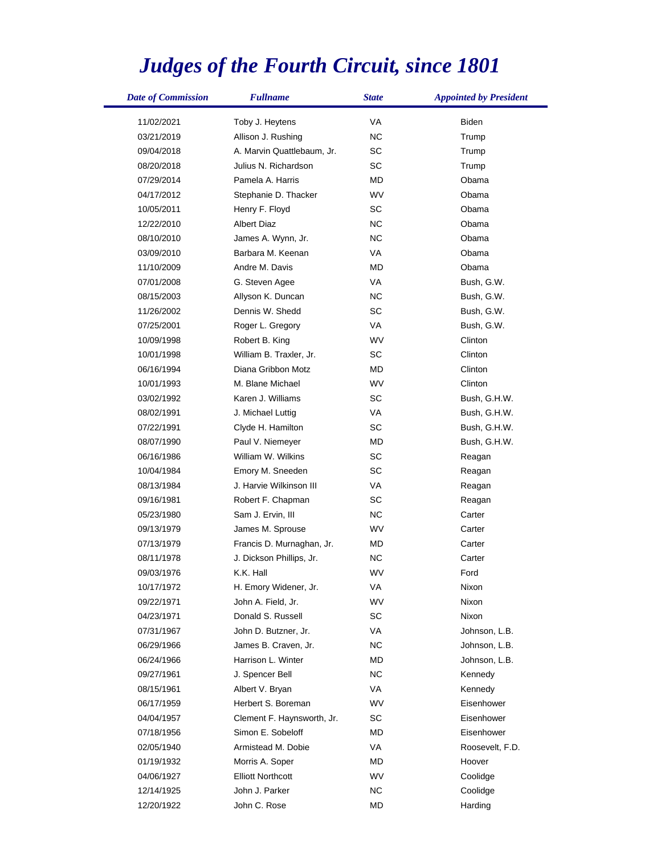## *Judges of the Fourth Circuit, since 1801*

| <b>Date of Commission</b> | <b>Fullname</b>            | <b>State</b> | <b>Appointed by President</b> |
|---------------------------|----------------------------|--------------|-------------------------------|
| 11/02/2021                | Toby J. Heytens            | VA           | <b>Biden</b>                  |
| 03/21/2019                | Allison J. Rushing         | NC.          | Trump                         |
| 09/04/2018                | A. Marvin Quattlebaum, Jr. | <b>SC</b>    | Trump                         |
| 08/20/2018                | Julius N. Richardson       | SC           | Trump                         |
| 07/29/2014                | Pamela A. Harris           | MD           | Obama                         |
| 04/17/2012                | Stephanie D. Thacker       | WV           | Obama                         |
| 10/05/2011                | Henry F. Floyd             | SC           | Obama                         |
| 12/22/2010                | <b>Albert Diaz</b>         | NC           | Obama                         |
| 08/10/2010                | James A. Wynn, Jr.         | NC.          | Obama                         |
| 03/09/2010                | Barbara M. Keenan          | VA           | Obama                         |
| 11/10/2009                | Andre M. Davis             | MD           | Obama                         |
| 07/01/2008                | G. Steven Agee             | VA           | Bush, G.W.                    |
| 08/15/2003                | Allyson K. Duncan          | NC.          | Bush, G.W.                    |
| 11/26/2002                | Dennis W. Shedd            | <b>SC</b>    | Bush, G.W.                    |
| 07/25/2001                | Roger L. Gregory           | VA           | Bush, G.W.                    |
| 10/09/1998                | Robert B. King             | WV           | Clinton                       |
| 10/01/1998                | William B. Traxler, Jr.    | SC           | Clinton                       |
| 06/16/1994                | Diana Gribbon Motz         | <b>MD</b>    | Clinton                       |
| 10/01/1993                | M. Blane Michael           | WV           | Clinton                       |
| 03/02/1992                | Karen J. Williams          | <b>SC</b>    | Bush, G.H.W.                  |
| 08/02/1991                | J. Michael Luttig          | VA           | Bush, G.H.W.                  |
| 07/22/1991                | Clyde H. Hamilton          | <b>SC</b>    | Bush, G.H.W.                  |
| 08/07/1990                | Paul V. Niemeyer           | <b>MD</b>    | Bush, G.H.W.                  |
| 06/16/1986                | William W. Wilkins         | <b>SC</b>    | Reagan                        |
| 10/04/1984                | Emory M. Sneeden           | <b>SC</b>    | Reagan                        |
| 08/13/1984                | J. Harvie Wilkinson III    | VA           | Reagan                        |
| 09/16/1981                | Robert F. Chapman          | SC           | Reagan                        |
| 05/23/1980                | Sam J. Ervin, III          | NC           | Carter                        |
| 09/13/1979                | James M. Sprouse           | WV           | Carter                        |
| 07/13/1979                | Francis D. Murnaghan, Jr.  | MD           | Carter                        |
| 08/11/1978                | J. Dickson Phillips, Jr.   | <b>NC</b>    | Carter                        |
| 09/03/1976                | K.K. Hall                  | WV           | Ford                          |
| 10/17/1972                | H. Emory Widener, Jr.      | VA           | Nixon                         |
| 09/22/1971                | John A. Field, Jr.         | WV           | Nixon                         |
| 04/23/1971                | Donald S. Russell          | SC           | Nixon                         |
| 07/31/1967                | John D. Butzner, Jr.       | VA           | Johnson, L.B.                 |
| 06/29/1966                | James B. Craven, Jr.       | NC.          | Johnson, L.B.                 |
| 06/24/1966                | Harrison L. Winter         | MD           | Johnson, L.B.                 |
| 09/27/1961                | J. Spencer Bell            | NC.          | Kennedy                       |
| 08/15/1961                | Albert V. Bryan            | VA           | Kennedy                       |
| 06/17/1959                | Herbert S. Boreman         | WV           | Eisenhower                    |
| 04/04/1957                | Clement F. Haynsworth, Jr. | SC           | Eisenhower                    |
| 07/18/1956                | Simon E. Sobeloff          | MD           | Eisenhower                    |
| 02/05/1940                | Armistead M. Dobie         | VA           | Roosevelt, F.D.               |
| 01/19/1932                | Morris A. Soper            | MD           | Hoover                        |
| 04/06/1927                | <b>Elliott Northcott</b>   | WV           | Coolidge                      |
| 12/14/1925                | John J. Parker             | NC.          | Coolidge                      |
| 12/20/1922                | John C. Rose               | MD           | Harding                       |